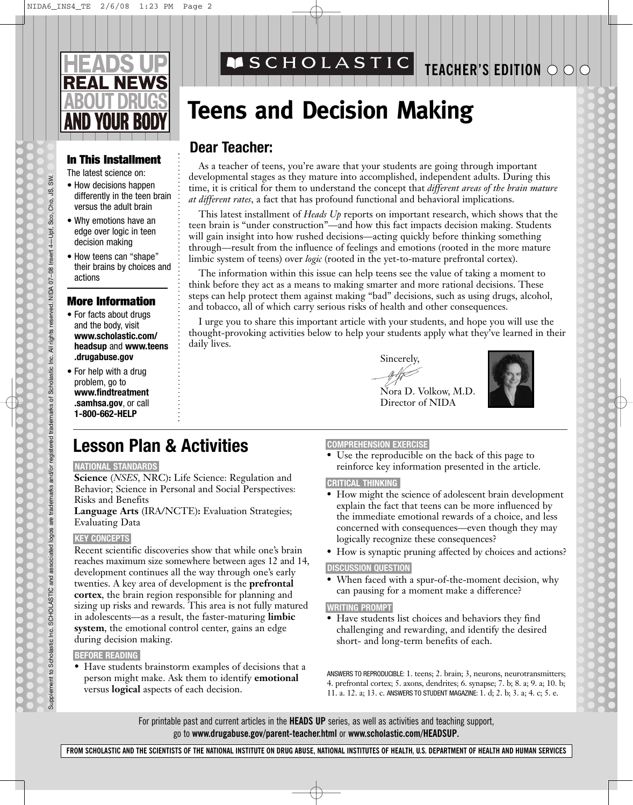

#### **In This Installment**

The latest science on:

- How decisions happen differently in the teen brain versus the adult brain
- Why emotions have an edge over logic in teen decision making
- How teens can "shape" their brains by choices and actions

#### **More Information**

- For facts about drugs and the body, visit **www.scholastic.com/ headsup** and **www.teens .drugabuse.gov**
- For help with a drug problem, go to **www.findtreatment .samhsa.gov**, or call **1-800-662-HELP**

## **MSCHOLASTIC**

## **TEACHER'S EDITION**

# **Teens and Decision Making**

### **Dear Teacher:**

As a teacher of teens, you're aware that your students are going through important developmental stages as they mature into accomplished, independent adults. During this time, it is critical for them to understand the concept that *different areas of the brain mature at different rates*, a fact that has profound functional and behavioral implications.

This latest installment of *Heads Up* reports on important research, which shows that the teen brain is "under construction"—and how this fact impacts decision making. Students will gain insight into how rushed decisions—acting quickly before thinking something through—result from the influence of feelings and emotions (rooted in the more mature limbic system of teens) over *logic* (rooted in the yet-to-mature prefrontal cortex).

The information within this issue can help teens see the value of taking a moment to think before they act as a means to making smarter and more rational decisions. These steps can help protect them against making "bad" decisions, such as using drugs, alcohol, and tobacco, all of which carry serious risks of health and other consequences.

I urge you to share this important article with your students, and hope you will use the thought-provoking activities below to help your students apply what they've learned in their daily lives.

Sincerely,



Nora D. Volkow, M.D. Director of NIDA



#### **NATIONAL STANDARDS**

**Science** (*NSES*, NRC)**:** Life Science: Regulation and Behavior; Science in Personal and Social Perspectives: Risks and Benefits

**Language Arts** (IRA/NCTE)**:** Evaluation Strategies; Evaluating Data

#### **KEY CONCEPTS**

Recent scientific discoveries show that while one's brain reaches maximum size somewhere between ages 12 and 14, development continues all the way through one's early twenties. A key area of development is the **prefrontal cortex**, the brain region responsible for planning and sizing up risks and rewards. This area is not fully matured in adolescents—as a result, the faster-maturing **limbic system**, the emotional control center, gains an edge during decision making.

#### **BEFORE READING**

• Have students brainstorm examples of decisions that a person might make. Ask them to identify **emotional** versus **logical** aspects of each decision.

#### **COMPREHENSION EXERCISE**

reinforce key information presented in the article.

#### **CRITICAL THINKING**

- How might the science of adolescent brain development explain the fact that teens can be more influenced by the immediate emotional rewards of a choice, and less concerned with consequences—even though they may logically recognize these consequences?
- How is synaptic pruning affected by choices and actions?

#### **DISCUSSION QUESTION**

• When faced with a spur-of-the-moment decision, why can pausing for a moment make a difference?

#### **WRITING PROMPT**

• Have students list choices and behaviors they find challenging and rewarding, and identify the desired short- and long-term benefits of each.

ANSWERS TO REPRODUCIBLE: 1. teens; 2. brain; 3, neurons, neurotransmitters; 4. prefrontal cortex; 5. axons, dendrites; 6. synapse; 7. b; 8. a; 9. a; 10. b; 11. a. 12. a; 13. c. ANSWERS TO STUDENT MAGAZINE: 1. d; 2. b; 3. a; 4. c; 5. e.

For printable past and current articles in the **HEADS UP** series, as well as activities and teaching support, go to **www.drugabuse.gov/parent-teacher.html** or **www.scholastic.com/HEADSUP.**